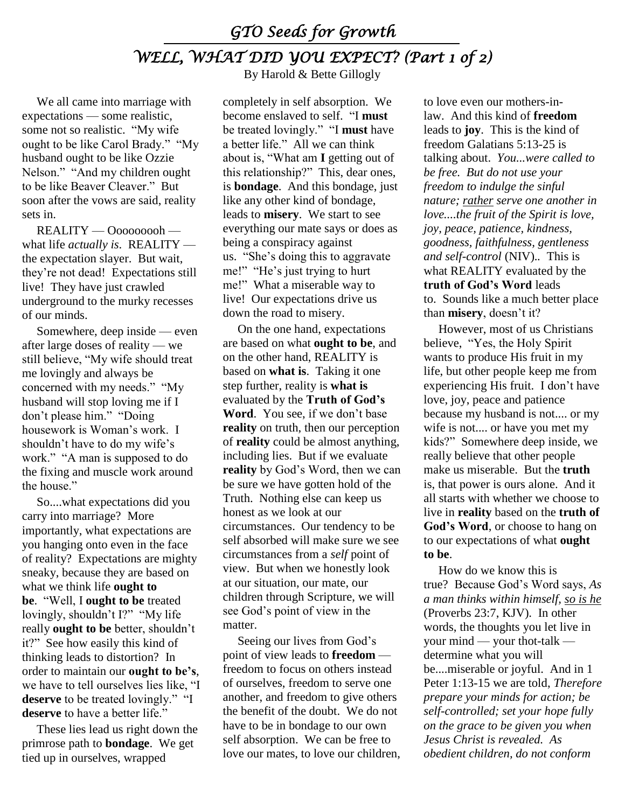## *GTO Seeds for Growth WELL, WHAT DID YOU EXPECT? (Part 1 of 2)*

We all came into marriage with expectations — some realistic, some not so realistic. "My wife ought to be like Carol Brady." "My husband ought to be like Ozzie Nelson." "And my children ought to be like Beaver Cleaver." But soon after the vows are said, reality sets in.

REALITY — Ooooooooh what life *actually is*. REALITY the expectation slayer. But wait, they're not dead! Expectations still live! They have just crawled underground to the murky recesses of our minds.

Somewhere, deep inside — even after large doses of reality — we still believe, "My wife should treat me lovingly and always be concerned with my needs." "My husband will stop loving me if I don't please him." "Doing housework is Woman's work. I shouldn't have to do my wife's work." "A man is supposed to do the fixing and muscle work around the house."

So....what expectations did you carry into marriage? More importantly, what expectations are you hanging onto even in the face of reality? Expectations are mighty sneaky, because they are based on what we think life **ought to be**. "Well, I **ought to be** treated lovingly, shouldn't I?" "My life really **ought to be** better, shouldn't it?" See how easily this kind of thinking leads to distortion? In order to maintain our **ought to be's**, we have to tell ourselves lies like, "I **deserve** to be treated lovingly." "I **deserve** to have a better life."

These lies lead us right down the primrose path to **bondage**. We get tied up in ourselves, wrapped

By Harold & Bette Gillogly

completely in self absorption. We become enslaved to self. "I **must** be treated lovingly." "I **must** have a better life." All we can think about is, "What am **I** getting out of this relationship?" This, dear ones, is **bondage**. And this bondage, just like any other kind of bondage, leads to **misery**. We start to see everything our mate says or does as being a conspiracy against us. "She's doing this to aggravate me!" "He's just trying to hurt me!" What a miserable way to live! Our expectations drive us down the road to misery.

On the one hand, expectations are based on what **ought to be**, and on the other hand, REALITY is based on **what is**. Taking it one step further, reality is **what is** evaluated by the **Truth of God's Word**. You see, if we don't base **reality** on truth, then our perception of **reality** could be almost anything, including lies. But if we evaluate **reality** by God's Word, then we can be sure we have gotten hold of the Truth. Nothing else can keep us honest as we look at our circumstances. Our tendency to be self absorbed will make sure we see circumstances from a *self* point of view. But when we honestly look at our situation, our mate, our children through Scripture, we will see God's point of view in the matter.

Seeing our lives from God's point of view leads to **freedom** freedom to focus on others instead of ourselves, freedom to serve one another, and freedom to give others the benefit of the doubt. We do not have to be in bondage to our own self absorption. We can be free to love our mates, to love our children, to love even our mothers-inlaw. And this kind of **freedom** leads to **joy**. This is the kind of freedom Galatians 5:13-25 is talking about. *You...were called to be free. But do not use your freedom to indulge the sinful nature; rather serve one another in love....the fruit of the Spirit is love, joy, peace, patience, kindness, goodness, faithfulness, gentleness and self-control* (NIV).*.* This is what REALITY evaluated by the **truth of God's Word** leads to. Sounds like a much better place than **misery**, doesn't it?

However, most of us Christians believe, "Yes, the Holy Spirit wants to produce His fruit in my life, but other people keep me from experiencing His fruit. I don't have love, joy, peace and patience because my husband is not.... or my wife is not.... or have you met my kids?" Somewhere deep inside, we really believe that other people make us miserable. But the **truth** is, that power is ours alone. And it all starts with whether we choose to live in **reality** based on the **truth of God's Word**, or choose to hang on to our expectations of what **ought to be**.

How do we know this is true? Because God's Word says, *As a man thinks within himself, so is he* (Proverbs 23:7, KJV). In other words, the thoughts you let live in your mind — your thot-talk determine what you will be....miserable or joyful. And in 1 Peter 1:13-15 we are told, *Therefore prepare your minds for action; be self-controlled; set your hope fully on the grace to be given you when Jesus Christ is revealed. As obedient children, do not conform*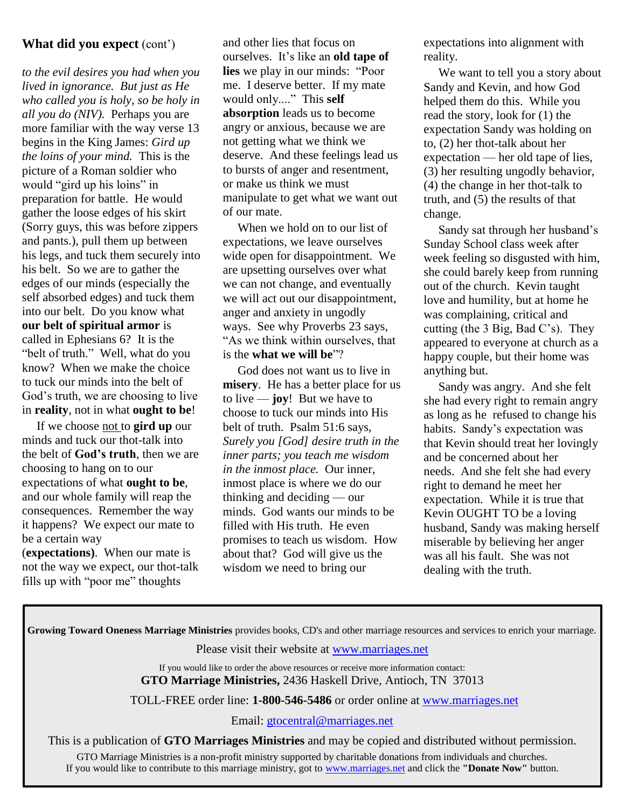## **What did you expect** (cont')

*to the evil desires you had when you lived in ignorance. But just as He who called you is holy, so be holy in all you do (NIV).* Perhaps you are more familiar with the way verse 13 begins in the King James: *Gird up the loins of your mind.* This is the picture of a Roman soldier who would "gird up his loins" in preparation for battle. He would gather the loose edges of his skirt (Sorry guys, this was before zippers and pants.), pull them up between his legs, and tuck them securely into his belt. So we are to gather the edges of our minds (especially the self absorbed edges) and tuck them into our belt. Do you know what **our belt of spiritual armor** is called in Ephesians 6? It is the "belt of truth." Well, what do you know? When we make the choice to tuck our minds into the belt of God's truth, we are choosing to live in **reality**, not in what **ought to be**!

If we choose not to **gird up** our minds and tuck our thot-talk into the belt of **God's truth**, then we are choosing to hang on to our expectations of what **ought to be**, and our whole family will reap the consequences. Remember the way it happens? We expect our mate to be a certain way

(**expectations)**. When our mate is not the way we expect, our thot-talk fills up with "poor me" thoughts

and other lies that focus on ourselves. It's like an **old tape of lies** we play in our minds: "Poor me. I deserve better. If my mate would only...." This **self absorption** leads us to become angry or anxious, because we are not getting what we think we deserve. And these feelings lead us to bursts of anger and resentment, or make us think we must manipulate to get what we want out of our mate.

When we hold on to our list of expectations, we leave ourselves wide open for disappointment. We are upsetting ourselves over what we can not change, and eventually we will act out our disappointment, anger and anxiety in ungodly ways. See why Proverbs 23 says, "As we think within ourselves, that is the **what we will be**"?

God does not want us to live in **misery**. He has a better place for us to live — **joy**! But we have to choose to tuck our minds into His belt of truth. Psalm 51:6 says, *Surely you [God] desire truth in the inner parts; you teach me wisdom in the inmost place.* Our inner, inmost place is where we do our thinking and deciding — our minds. God wants our minds to be filled with His truth. He even promises to teach us wisdom. How about that? God will give us the wisdom we need to bring our

expectations into alignment with reality.

We want to tell you a story about Sandy and Kevin, and how God helped them do this. While you read the story, look for (1) the expectation Sandy was holding on to, (2) her thot-talk about her expectation — her old tape of lies, (3) her resulting ungodly behavior, (4) the change in her thot-talk to truth, and (5) the results of that change.

Sandy sat through her husband's Sunday School class week after week feeling so disgusted with him, she could barely keep from running out of the church. Kevin taught love and humility, but at home he was complaining, critical and cutting (the 3 Big, Bad C's). They appeared to everyone at church as a happy couple, but their home was anything but.

Sandy was angry. And she felt she had every right to remain angry as long as he refused to change his habits. Sandy's expectation was that Kevin should treat her lovingly and be concerned about her needs. And she felt she had every right to demand he meet her expectation. While it is true that Kevin OUGHT TO be a loving husband, Sandy was making herself miserable by believing her anger was all his fault. She was not dealing with the truth.

| Growing Toward Oneness Marriage Ministries provides books, CD's and other marriage resources and services to enrich your marriage.                    |
|-------------------------------------------------------------------------------------------------------------------------------------------------------|
| Please visit their website at www.marriages.net                                                                                                       |
| If you would like to order the above resources or receive more information contact:<br>GTO Marriage Ministries, 2436 Haskell Drive, Antioch, TN 37013 |
| TOLL-FREE order line: 1-800-546-5486 or order online at www.marriages.net                                                                             |
| Email: gtocentral@marriages.net                                                                                                                       |
| This is a publication of GTO Marriages Ministries and may be copied and distributed without permission.                                               |
| GTO Marriage Ministries is a non-profit ministry supported by charitable donations from individuals and churches.                                     |

If you would like to contribute to this marriage ministry, got to [www.marriages.net](http://www.marriages.net/) and click the **"Donate Now"** button.